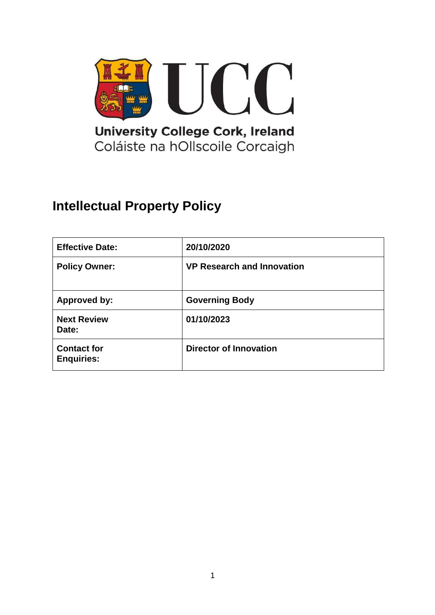

# **Intellectual Property Policy**

| <b>Effective Date:</b>                  | 20/10/2020                        |
|-----------------------------------------|-----------------------------------|
| <b>Policy Owner:</b>                    | <b>VP Research and Innovation</b> |
| <b>Approved by:</b>                     | <b>Governing Body</b>             |
| <b>Next Review</b><br>Date:             | 01/10/2023                        |
| <b>Contact for</b><br><b>Enquiries:</b> | <b>Director of Innovation</b>     |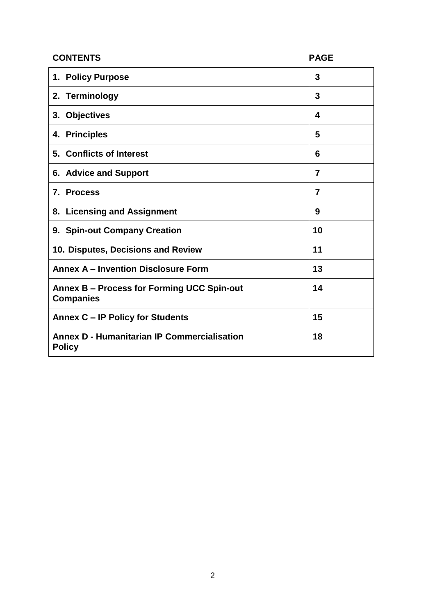| <b>CONTENTS</b>                                                     | <b>PAGE</b>    |
|---------------------------------------------------------------------|----------------|
| 1. Policy Purpose                                                   | 3              |
| 2. Terminology                                                      | 3              |
| 3. Objectives                                                       | 4              |
| 4. Principles                                                       | 5              |
| 5. Conflicts of Interest                                            | 6              |
| 6. Advice and Support                                               | 7              |
| 7. Process                                                          | $\overline{7}$ |
| 8. Licensing and Assignment                                         | 9              |
| 9. Spin-out Company Creation                                        | 10             |
| 10. Disputes, Decisions and Review                                  | 11             |
| <b>Annex A - Invention Disclosure Form</b>                          | 13             |
| Annex B – Process for Forming UCC Spin-out<br><b>Companies</b>      | 14             |
| Annex C - IP Policy for Students                                    | 15             |
| <b>Annex D - Humanitarian IP Commercialisation</b><br><b>Policy</b> | 18             |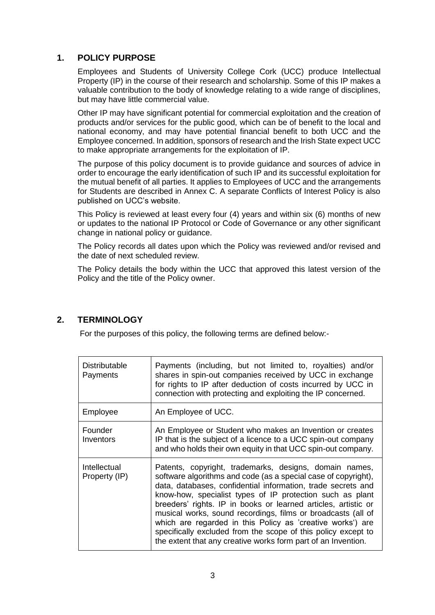## **1. POLICY PURPOSE**

Employees and Students of University College Cork (UCC) produce Intellectual Property (IP) in the course of their research and scholarship. Some of this IP makes a valuable contribution to the body of knowledge relating to a wide range of disciplines, but may have little commercial value.

Other IP may have significant potential for commercial exploitation and the creation of products and/or services for the public good, which can be of benefit to the local and national economy, and may have potential financial benefit to both UCC and the Employee concerned. In addition, sponsors of research and the Irish State expect UCC to make appropriate arrangements for the exploitation of IP.

The purpose of this policy document is to provide guidance and sources of advice in order to encourage the early identification of such IP and its successful exploitation for the mutual benefit of all parties. It applies to Employees of UCC and the arrangements for Students are described in Annex C. A separate Conflicts of Interest Policy is also published on UCC's website.

This Policy is reviewed at least every four (4) years and within six (6) months of new or updates to the national IP Protocol or Code of Governance or any other significant change in national policy or guidance.

The Policy records all dates upon which the Policy was reviewed and/or revised and the date of next scheduled review.

The Policy details the body within the UCC that approved this latest version of the Policy and the title of the Policy owner.

## **2. TERMINOLOGY**

For the purposes of this policy, the following terms are defined below:-

| <b>Distributable</b><br>Payments | Payments (including, but not limited to, royalties) and/or<br>shares in spin-out companies received by UCC in exchange<br>for rights to IP after deduction of costs incurred by UCC in<br>connection with protecting and exploiting the IP concerned.                                                                                                                                                                                                                                                                                                                                   |  |
|----------------------------------|-----------------------------------------------------------------------------------------------------------------------------------------------------------------------------------------------------------------------------------------------------------------------------------------------------------------------------------------------------------------------------------------------------------------------------------------------------------------------------------------------------------------------------------------------------------------------------------------|--|
| Employee                         | An Employee of UCC.                                                                                                                                                                                                                                                                                                                                                                                                                                                                                                                                                                     |  |
| Founder<br>Inventors             | An Employee or Student who makes an Invention or creates<br>IP that is the subject of a licence to a UCC spin-out company<br>and who holds their own equity in that UCC spin-out company.                                                                                                                                                                                                                                                                                                                                                                                               |  |
| Intellectual<br>Property (IP)    | Patents, copyright, trademarks, designs, domain names,<br>software algorithms and code (as a special case of copyright),<br>data, databases, confidential information, trade secrets and<br>know-how, specialist types of IP protection such as plant<br>breeders' rights. IP in books or learned articles, artistic or<br>musical works, sound recordings, films or broadcasts (all of<br>which are regarded in this Policy as 'creative works') are<br>specifically excluded from the scope of this policy except to<br>the extent that any creative works form part of an Invention. |  |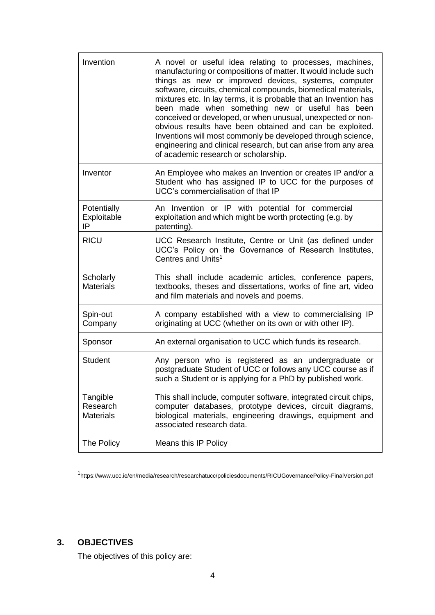| Invention                                | A novel or useful idea relating to processes, machines,<br>manufacturing or compositions of matter. It would include such<br>things as new or improved devices, systems, computer<br>software, circuits, chemical compounds, biomedical materials,<br>mixtures etc. In lay terms, it is probable that an Invention has<br>been made when something new or useful has been<br>conceived or developed, or when unusual, unexpected or non-<br>obvious results have been obtained and can be exploited.<br>Inventions will most commonly be developed through science,<br>engineering and clinical research, but can arise from any area<br>of academic research or scholarship. |  |
|------------------------------------------|-------------------------------------------------------------------------------------------------------------------------------------------------------------------------------------------------------------------------------------------------------------------------------------------------------------------------------------------------------------------------------------------------------------------------------------------------------------------------------------------------------------------------------------------------------------------------------------------------------------------------------------------------------------------------------|--|
| Inventor                                 | An Employee who makes an Invention or creates IP and/or a<br>Student who has assigned IP to UCC for the purposes of<br>UCC's commercialisation of that IP                                                                                                                                                                                                                                                                                                                                                                                                                                                                                                                     |  |
| Potentially<br>Exploitable<br>IP         | An Invention or IP with potential for commercial<br>exploitation and which might be worth protecting (e.g. by<br>patenting).                                                                                                                                                                                                                                                                                                                                                                                                                                                                                                                                                  |  |
| <b>RICU</b>                              | UCC Research Institute, Centre or Unit (as defined under<br>UCC's Policy on the Governance of Research Institutes,<br>Centres and Units <sup>1</sup>                                                                                                                                                                                                                                                                                                                                                                                                                                                                                                                          |  |
| Scholarly<br><b>Materials</b>            | This shall include academic articles, conference papers,<br>textbooks, theses and dissertations, works of fine art, video<br>and film materials and novels and poems.                                                                                                                                                                                                                                                                                                                                                                                                                                                                                                         |  |
| Spin-out<br>Company                      | A company established with a view to commercialising IP<br>originating at UCC (whether on its own or with other IP).                                                                                                                                                                                                                                                                                                                                                                                                                                                                                                                                                          |  |
| Sponsor                                  | An external organisation to UCC which funds its research.                                                                                                                                                                                                                                                                                                                                                                                                                                                                                                                                                                                                                     |  |
| <b>Student</b>                           | Any person who is registered as an undergraduate or<br>postgraduate Student of UCC or follows any UCC course as if<br>such a Student or is applying for a PhD by published work.                                                                                                                                                                                                                                                                                                                                                                                                                                                                                              |  |
| Tangible<br>Research<br><b>Materials</b> | This shall include, computer software, integrated circuit chips,<br>computer databases, prototype devices, circuit diagrams,<br>biological materials, engineering drawings, equipment and<br>associated research data.                                                                                                                                                                                                                                                                                                                                                                                                                                                        |  |
| The Policy                               | Means this IP Policy                                                                                                                                                                                                                                                                                                                                                                                                                                                                                                                                                                                                                                                          |  |

<sup>1</sup>https://www.ucc.ie/en/media/research/researchatucc/policiesdocuments/RICUGovernancePolicy-FinalVersion.pdf

# **3. OBJECTIVES**

The objectives of this policy are: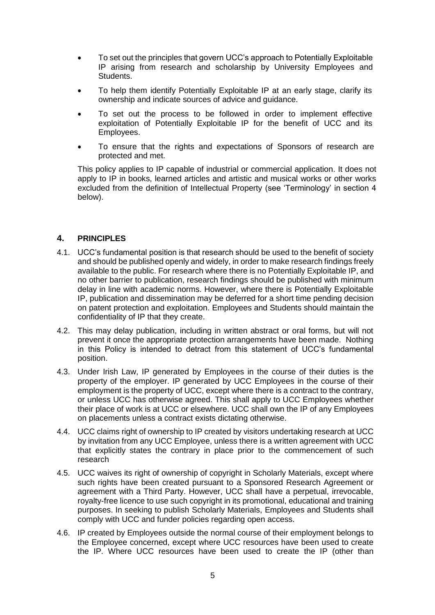- To set out the principles that govern UCC's approach to Potentially Exploitable IP arising from research and scholarship by University Employees and Students.
- To help them identify Potentially Exploitable IP at an early stage, clarify its ownership and indicate sources of advice and guidance.
- To set out the process to be followed in order to implement effective exploitation of Potentially Exploitable IP for the benefit of UCC and its Employees.
- To ensure that the rights and expectations of Sponsors of research are protected and met.

This policy applies to IP capable of industrial or commercial application. It does not apply to IP in books, learned articles and artistic and musical works or other works excluded from the definition of Intellectual Property (see 'Terminology' in section 4 below).

#### **4. PRINCIPLES**

- 4.1. UCC's fundamental position is that research should be used to the benefit of society and should be published openly and widely, in order to make research findings freely available to the public. For research where there is no Potentially Exploitable IP, and no other barrier to publication, research findings should be published with minimum delay in line with academic norms. However, where there is Potentially Exploitable IP, publication and dissemination may be deferred for a short time pending decision on patent protection and exploitation. Employees and Students should maintain the confidentiality of IP that they create.
- 4.2. This may delay publication, including in written abstract or oral forms, but will not prevent it once the appropriate protection arrangements have been made. Nothing in this Policy is intended to detract from this statement of UCC's fundamental position.
- 4.3. Under Irish Law, IP generated by Employees in the course of their duties is the property of the employer. IP generated by UCC Employees in the course of their employment is the property of UCC, except where there is a contract to the contrary, or unless UCC has otherwise agreed. This shall apply to UCC Employees whether their place of work is at UCC or elsewhere. UCC shall own the IP of any Employees on placements unless a contract exists dictating otherwise.
- 4.4. UCC claims right of ownership to IP created by visitors undertaking research at UCC by invitation from any UCC Employee, unless there is a written agreement with UCC that explicitly states the contrary in place prior to the commencement of such research
- 4.5. UCC waives its right of ownership of copyright in Scholarly Materials, except where such rights have been created pursuant to a Sponsored Research Agreement or agreement with a Third Party. However, UCC shall have a perpetual, irrevocable, royalty-free licence to use such copyright in its promotional, educational and training purposes. In seeking to publish Scholarly Materials, Employees and Students shall comply with UCC and funder policies regarding open access.
- 4.6. IP created by Employees outside the normal course of their employment belongs to the Employee concerned, except where UCC resources have been used to create the IP. Where UCC resources have been used to create the IP (other than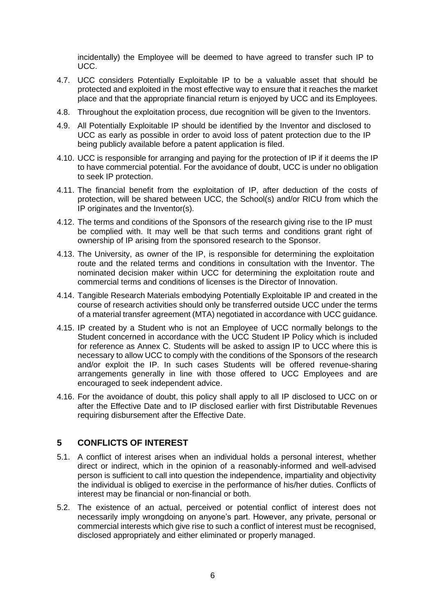incidentally) the Employee will be deemed to have agreed to transfer such IP to UCC.

- 4.7. UCC considers Potentially Exploitable IP to be a valuable asset that should be protected and exploited in the most effective way to ensure that it reaches the market place and that the appropriate financial return is enjoyed by UCC and its Employees.
- 4.8. Throughout the exploitation process, due recognition will be given to the Inventors.
- 4.9. All Potentially Exploitable IP should be identified by the Inventor and disclosed to UCC as early as possible in order to avoid loss of patent protection due to the IP being publicly available before a patent application is filed.
- 4.10. UCC is responsible for arranging and paying for the protection of IP if it deems the IP to have commercial potential. For the avoidance of doubt, UCC is under no obligation to seek IP protection.
- 4.11. The financial benefit from the exploitation of IP, after deduction of the costs of protection, will be shared between UCC, the School(s) and/or RICU from which the IP originates and the Inventor(s).
- 4.12. The terms and conditions of the Sponsors of the research giving rise to the IP must be complied with. It may well be that such terms and conditions grant right of ownership of IP arising from the sponsored research to the Sponsor.
- 4.13. The University, as owner of the IP, is responsible for determining the exploitation route and the related terms and conditions in consultation with the Inventor. The nominated decision maker within UCC for determining the exploitation route and commercial terms and conditions of licenses is the Director of Innovation.
- 4.14. Tangible Research Materials embodying Potentially Exploitable IP and created in the course of research activities should only be transferred outside UCC under the terms of a material transfer agreement (MTA) negotiated in accordance with UCC guidance.
- 4.15. IP created by a Student who is not an Employee of UCC normally belongs to the Student concerned in accordance with the UCC Student IP Policy which is included for reference as Annex C. Students will be asked to assign IP to UCC where this is necessary to allow UCC to comply with the conditions of the Sponsors of the research and/or exploit the IP. In such cases Students will be offered revenue-sharing arrangements generally in line with those offered to UCC Employees and are encouraged to seek independent advice.
- 4.16. For the avoidance of doubt, this policy shall apply to all IP disclosed to UCC on or after the Effective Date and to IP disclosed earlier with first Distributable Revenues requiring disbursement after the Effective Date.

## **5 CONFLICTS OF INTEREST**

- 5.1. A conflict of interest arises when an individual holds a personal interest, whether direct or indirect, which in the opinion of a reasonably-informed and well-advised person is sufficient to call into question the independence, impartiality and objectivity the individual is obliged to exercise in the performance of his/her duties. Conflicts of interest may be financial or non-financial or both.
- 5.2. The existence of an actual, perceived or potential conflict of interest does not necessarily imply wrongdoing on anyone's part. However, any private, personal or commercial interests which give rise to such a conflict of interest must be recognised, disclosed appropriately and either eliminated or properly managed.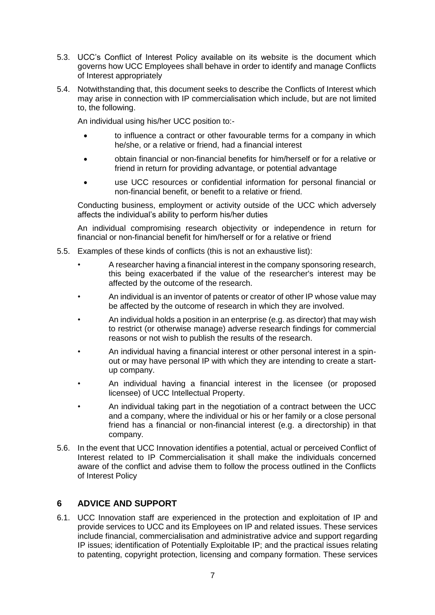- 5.3. UCC's Conflict of Interest Policy available on its website is the document which governs how UCC Employees shall behave in order to identify and manage Conflicts of Interest appropriately
- 5.4. Notwithstanding that, this document seeks to describe the Conflicts of Interest which may arise in connection with IP commercialisation which include, but are not limited to, the following.

An individual using his/her UCC position to:-

- to influence a contract or other favourable terms for a company in which he/she, or a relative or friend, had a financial interest
- obtain financial or non-financial benefits for him/herself or for a relative or friend in return for providing advantage, or potential advantage
- use UCC resources or confidential information for personal financial or non-financial benefit, or benefit to a relative or friend.

Conducting business, employment or activity outside of the UCC which adversely affects the individual's ability to perform his/her duties

An individual compromising research objectivity or independence in return for financial or non-financial benefit for him/herself or for a relative or friend

- 5.5. Examples of these kinds of conflicts (this is not an exhaustive list):
	- A researcher having a financial interest in the company sponsoring research, this being exacerbated if the value of the researcher's interest may be affected by the outcome of the research.
	- An individual is an inventor of patents or creator of other IP whose value may be affected by the outcome of research in which they are involved.
	- An individual holds a position in an enterprise (e.g. as director) that may wish to restrict (or otherwise manage) adverse research findings for commercial reasons or not wish to publish the results of the research.
	- An individual having a financial interest or other personal interest in a spinout or may have personal IP with which they are intending to create a startup company.
	- An individual having a financial interest in the licensee (or proposed licensee) of UCC Intellectual Property.
	- An individual taking part in the negotiation of a contract between the UCC and a company, where the individual or his or her family or a close personal friend has a financial or non-financial interest (e.g. a directorship) in that company.
- 5.6. In the event that UCC Innovation identifies a potential, actual or perceived Conflict of Interest related to IP Commercialisation it shall make the individuals concerned aware of the conflict and advise them to follow the process outlined in the Conflicts of Interest Policy

## **6 ADVICE AND SUPPORT**

6.1. UCC Innovation staff are experienced in the protection and exploitation of IP and provide services to UCC and its Employees on IP and related issues. These services include financial, commercialisation and administrative advice and support regarding IP issues; identification of Potentially Exploitable IP; and the practical issues relating to patenting, copyright protection, licensing and company formation. These services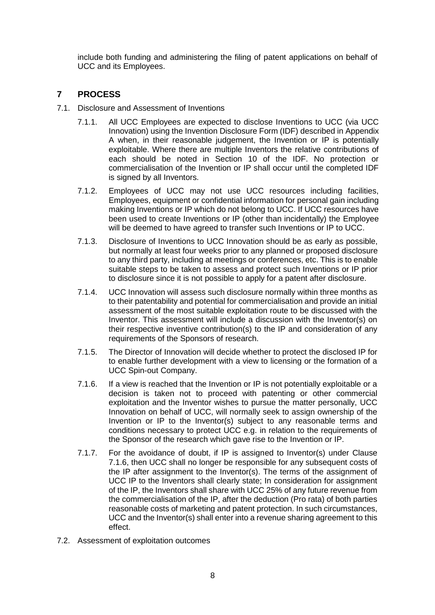include both funding and administering the filing of patent applications on behalf of UCC and its Employees.

## **7 PROCESS**

- 7.1. Disclosure and Assessment of Inventions
	- 7.1.1. All UCC Employees are expected to disclose Inventions to UCC (via UCC Innovation) using the Invention Disclosure Form (IDF) described in Appendix A when, in their reasonable judgement, the Invention or IP is potentially exploitable. Where there are multiple Inventors the relative contributions of each should be noted in Section 10 of the IDF. No protection or commercialisation of the Invention or IP shall occur until the completed IDF is signed by all Inventors.
	- 7.1.2. Employees of UCC may not use UCC resources including facilities, Employees, equipment or confidential information for personal gain including making Inventions or IP which do not belong to UCC. If UCC resources have been used to create Inventions or IP (other than incidentally) the Employee will be deemed to have agreed to transfer such Inventions or IP to UCC.
	- 7.1.3. Disclosure of Inventions to UCC Innovation should be as early as possible, but normally at least four weeks prior to any planned or proposed disclosure to any third party, including at meetings or conferences, etc. This is to enable suitable steps to be taken to assess and protect such Inventions or IP prior to disclosure since it is not possible to apply for a patent after disclosure.
	- 7.1.4. UCC Innovation will assess such disclosure normally within three months as to their patentability and potential for commercialisation and provide an initial assessment of the most suitable exploitation route to be discussed with the Inventor. This assessment will include a discussion with the Inventor(s) on their respective inventive contribution(s) to the IP and consideration of any requirements of the Sponsors of research.
	- 7.1.5. The Director of Innovation will decide whether to protect the disclosed IP for to enable further development with a view to licensing or the formation of a UCC Spin-out Company.
	- 7.1.6. If a view is reached that the Invention or IP is not potentially exploitable or a decision is taken not to proceed with patenting or other commercial exploitation and the Inventor wishes to pursue the matter personally, UCC Innovation on behalf of UCC, will normally seek to assign ownership of the Invention or IP to the Inventor(s) subject to any reasonable terms and conditions necessary to protect UCC e.g. in relation to the requirements of the Sponsor of the research which gave rise to the Invention or IP.
	- 7.1.7. For the avoidance of doubt, if IP is assigned to Inventor(s) under Clause 7.1.6, then UCC shall no longer be responsible for any subsequent costs of the IP after assignment to the Inventor(s). The terms of the assignment of UCC IP to the Inventors shall clearly state; In consideration for assignment of the IP, the Inventors shall share with UCC 25% of any future revenue from the commercialisation of the IP, after the deduction (Pro rata) of both parties reasonable costs of marketing and patent protection. In such circumstances, UCC and the Inventor(s) shall enter into a revenue sharing agreement to this effect.
- 7.2. Assessment of exploitation outcomes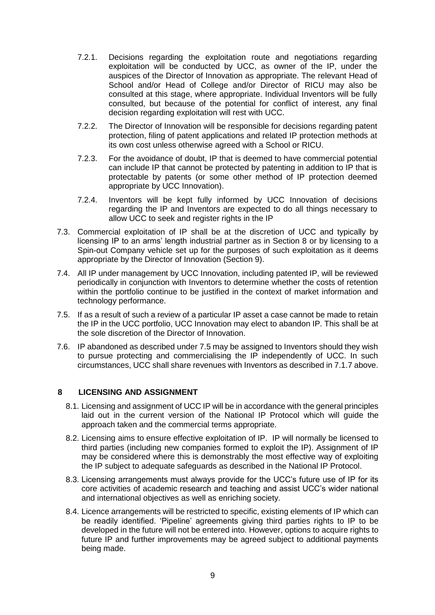- 7.2.1. Decisions regarding the exploitation route and negotiations regarding exploitation will be conducted by UCC, as owner of the IP, under the auspices of the Director of Innovation as appropriate. The relevant Head of School and/or Head of College and/or Director of RICU may also be consulted at this stage, where appropriate. Individual Inventors will be fully consulted, but because of the potential for conflict of interest, any final decision regarding exploitation will rest with UCC.
- 7.2.2. The Director of Innovation will be responsible for decisions regarding patent protection, filing of patent applications and related IP protection methods at its own cost unless otherwise agreed with a School or RICU.
- 7.2.3. For the avoidance of doubt, IP that is deemed to have commercial potential can include IP that cannot be protected by patenting in addition to IP that is protectable by patents (or some other method of IP protection deemed appropriate by UCC Innovation).
- 7.2.4. Inventors will be kept fully informed by UCC Innovation of decisions regarding the IP and Inventors are expected to do all things necessary to allow UCC to seek and register rights in the IP
- 7.3. Commercial exploitation of IP shall be at the discretion of UCC and typically by licensing IP to an arms' length industrial partner as in Section 8 or by licensing to a Spin-out Company vehicle set up for the purposes of such exploitation as it deems appropriate by the Director of Innovation (Section 9).
- 7.4. All IP under management by UCC Innovation, including patented IP, will be reviewed periodically in conjunction with Inventors to determine whether the costs of retention within the portfolio continue to be justified in the context of market information and technology performance.
- 7.5. If as a result of such a review of a particular IP asset a case cannot be made to retain the IP in the UCC portfolio, UCC Innovation may elect to abandon IP. This shall be at the sole discretion of the Director of Innovation.
- 7.6. IP abandoned as described under 7.5 may be assigned to Inventors should they wish to pursue protecting and commercialising the IP independently of UCC. In such circumstances, UCC shall share revenues with Inventors as described in 7.1.7 above.

#### **8 LICENSING AND ASSIGNMENT**

- 8.1. Licensing and assignment of UCC IP will be in accordance with the general principles laid out in the current version of the National IP Protocol which will guide the approach taken and the commercial terms appropriate.
- 8.2. Licensing aims to ensure effective exploitation of IP. IP will normally be licensed to third parties (including new companies formed to exploit the IP). Assignment of IP may be considered where this is demonstrably the most effective way of exploiting the IP subject to adequate safeguards as described in the National IP Protocol.
- 8.3. Licensing arrangements must always provide for the UCC's future use of IP for its core activities of academic research and teaching and assist UCC's wider national and international objectives as well as enriching society.
- 8.4. Licence arrangements will be restricted to specific, existing elements of IP which can be readily identified. 'Pipeline' agreements giving third parties rights to IP to be developed in the future will not be entered into. However, options to acquire rights to future IP and further improvements may be agreed subject to additional payments being made.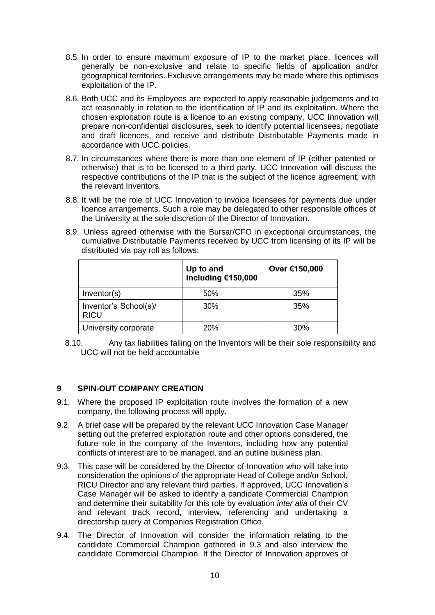- 8.5. In order to ensure maximum exposure of IP to the market place, licences will generally be non-exclusive and relate to specific fields of application and/or geographical territories. Exclusive arrangements may be made where this optimises exploitation of the IP.
- 8.6. Both UCC and its Employees are expected to apply reasonable judgements and to act reasonably in relation to the identification of IP and its exploitation. Where the chosen exploitation route is a licence to an existing company, UCC Innovation will prepare non-confidential disclosures, seek to identify potential licensees, negotiate and draft licences, and receive and distribute Distributable Payments made in accordance with UCC policies.
- 8.7. In circumstances where there is more than one element of IP (either patented or otherwise) that is to be licensed to a third party, UCC Innovation will discuss the respective contributions of the IP that is the subject of the licence agreement, with the relevant Inventors.
- 8.8. It will be the role of UCC Innovation to invoice licensees for payments due under licence arrangements. Such a role may be delegated to other responsible offices of the University at the sole discretion of the Director of Innovation.
- 8.9. Unless agreed otherwise with the Bursar/CFO in exceptional circumstances, the cumulative Distributable Payments received by UCC from licensing of its IP will be distributed via pay roll as follows:

|                                      | Up to and<br>including €150,000 | Over €150,000 |
|--------------------------------------|---------------------------------|---------------|
| Inventor(s)                          | 50%                             | 35%           |
| Inventor's School(s)/<br><b>RICU</b> | 30%                             | 35%           |
| University corporate                 | 20%                             | 30%           |

8.10. Any tax liabilities falling on the Inventors will be their sole responsibility and UCC will not be held accountable

#### **9 SPIN-OUT COMPANY CREATION**

- 9.1. Where the proposed IP exploitation route involves the formation of a new company, the following process will apply.
- 9.2. A brief case will be prepared by the relevant UCC Innovation Case Manager setting out the preferred exploitation route and other options considered, the future role in the company of the Inventors, including how any potential conflicts of interest are to be managed, and an outline business plan.
- 9.3. This case will be considered by the Director of Innovation who will take into consideration the opinions of the appropriate Head of College and/or School, RICU Director and any relevant third parties. If approved, UCC Innovation's Case Manager will be asked to identify a candidate Commercial Champion and determine their suitability for this role by evaluation *inter alia* of their CV and relevant track record, interview, referencing and undertaking a directorship query at Companies Registration Office.
- 9.4. The Director of Innovation will consider the information relating to the candidate Commercial Champion gathered in 9.3 and also interview the candidate Commercial Champion. If the Director of Innovation approves of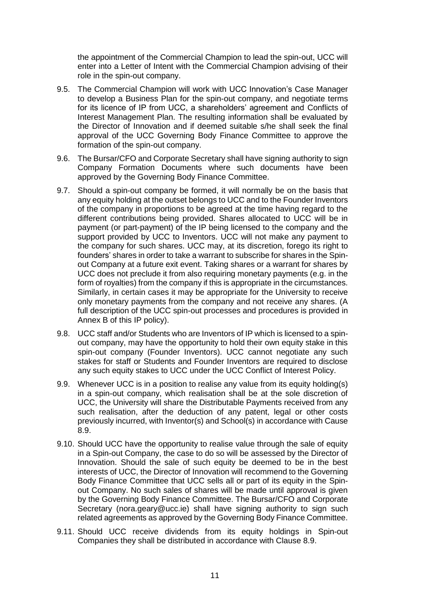the appointment of the Commercial Champion to lead the spin-out, UCC will enter into a Letter of Intent with the Commercial Champion advising of their role in the spin-out company.

- 9.5. The Commercial Champion will work with UCC Innovation's Case Manager to develop a Business Plan for the spin-out company, and negotiate terms for its licence of IP from UCC, a shareholders' agreement and Conflicts of Interest Management Plan. The resulting information shall be evaluated by the Director of Innovation and if deemed suitable s/he shall seek the final approval of the UCC Governing Body Finance Committee to approve the formation of the spin-out company.
- 9.6. The Bursar/CFO and Corporate Secretary shall have signing authority to sign Company Formation Documents where such documents have been approved by the Governing Body Finance Committee.
- 9.7. Should a spin-out company be formed, it will normally be on the basis that any equity holding at the outset belongs to UCC and to the Founder Inventors of the company in proportions to be agreed at the time having regard to the different contributions being provided. Shares allocated to UCC will be in payment (or part-payment) of the IP being licensed to the company and the support provided by UCC to Inventors. UCC will not make any payment to the company for such shares. UCC may, at its discretion, forego its right to founders' shares in order to take a warrant to subscribe for shares in the Spinout Company at a future exit event. Taking shares or a warrant for shares by UCC does not preclude it from also requiring monetary payments (e.g. in the form of royalties) from the company if this is appropriate in the circumstances. Similarly, in certain cases it may be appropriate for the University to receive only monetary payments from the company and not receive any shares. (A full description of the UCC spin-out processes and procedures is provided in Annex B of this IP policy).
- 9.8. UCC staff and/or Students who are Inventors of IP which is licensed to a spinout company, may have the opportunity to hold their own equity stake in this spin-out company (Founder Inventors). UCC cannot negotiate any such stakes for staff or Students and Founder Inventors are required to disclose any such equity stakes to UCC under the UCC Conflict of Interest Policy.
- 9.9. Whenever UCC is in a position to realise any value from its equity holding(s) in a spin-out company, which realisation shall be at the sole discretion of UCC, the University will share the Distributable Payments received from any such realisation, after the deduction of any patent, legal or other costs previously incurred, with Inventor(s) and School(s) in accordance with Cause 8.9.
- 9.10. Should UCC have the opportunity to realise value through the sale of equity in a Spin-out Company, the case to do so will be assessed by the Director of Innovation. Should the sale of such equity be deemed to be in the best interests of UCC, the Director of Innovation will recommend to the Governing Body Finance Committee that UCC sells all or part of its equity in the Spinout Company. No such sales of shares will be made until approval is given by the Governing Body Finance Committee. The Bursar/CFO and Corporate Secretary (nora.geary@ucc.ie) shall have signing authority to sign such related agreements as approved by the Governing Body Finance Committee.
- 9.11. Should UCC receive dividends from its equity holdings in Spin-out Companies they shall be distributed in accordance with Clause 8.9.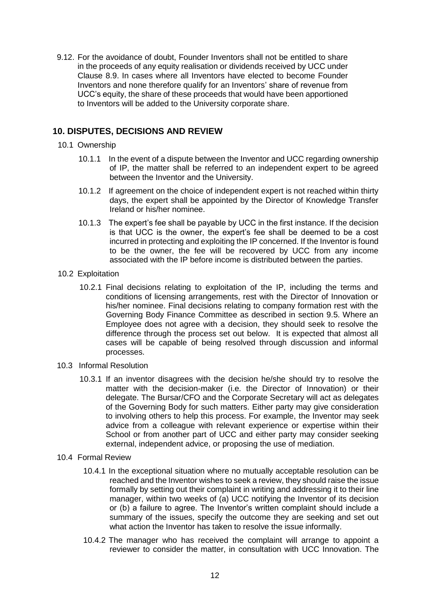9.12. For the avoidance of doubt, Founder Inventors shall not be entitled to share in the proceeds of any equity realisation or dividends received by UCC under Clause 8.9. In cases where all Inventors have elected to become Founder Inventors and none therefore qualify for an Inventors' share of revenue from UCC's equity, the share of these proceeds that would have been apportioned to Inventors will be added to the University corporate share.

## **10. DISPUTES, DECISIONS AND REVIEW**

- 10.1 Ownership
	- 10.1.1 In the event of a dispute between the Inventor and UCC regarding ownership of IP, the matter shall be referred to an independent expert to be agreed between the Inventor and the University.
	- 10.1.2 If agreement on the choice of independent expert is not reached within thirty days, the expert shall be appointed by the Director of Knowledge Transfer Ireland or his/her nominee.
	- 10.1.3 The expert's fee shall be payable by UCC in the first instance. If the decision is that UCC is the owner, the expert's fee shall be deemed to be a cost incurred in protecting and exploiting the IP concerned. If the Inventor is found to be the owner, the fee will be recovered by UCC from any income associated with the IP before income is distributed between the parties.
- 10.2 Exploitation
	- 10.2.1 Final decisions relating to exploitation of the IP, including the terms and conditions of licensing arrangements, rest with the Director of Innovation or his/her nominee. Final decisions relating to company formation rest with the Governing Body Finance Committee as described in section 9.5. Where an Employee does not agree with a decision, they should seek to resolve the difference through the process set out below. It is expected that almost all cases will be capable of being resolved through discussion and informal processes.
- 10.3 Informal Resolution
	- 10.3.1 If an inventor disagrees with the decision he/she should try to resolve the matter with the decision-maker (i.e. the Director of Innovation) or their delegate. The Bursar/CFO and the Corporate Secretary will act as delegates of the Governing Body for such matters. Either party may give consideration to involving others to help this process. For example, the Inventor may seek advice from a colleague with relevant experience or expertise within their School or from another part of UCC and either party may consider seeking external, independent advice, or proposing the use of mediation.
- 10.4 Formal Review
	- 10.4.1 In the exceptional situation where no mutually acceptable resolution can be reached and the Inventor wishes to seek a review, they should raise the issue formally by setting out their complaint in writing and addressing it to their line manager, within two weeks of (a) UCC notifying the Inventor of its decision or (b) a failure to agree. The Inventor's written complaint should include a summary of the issues, specify the outcome they are seeking and set out what action the Inventor has taken to resolve the issue informally.
	- 10.4.2 The manager who has received the complaint will arrange to appoint a reviewer to consider the matter, in consultation with UCC Innovation. The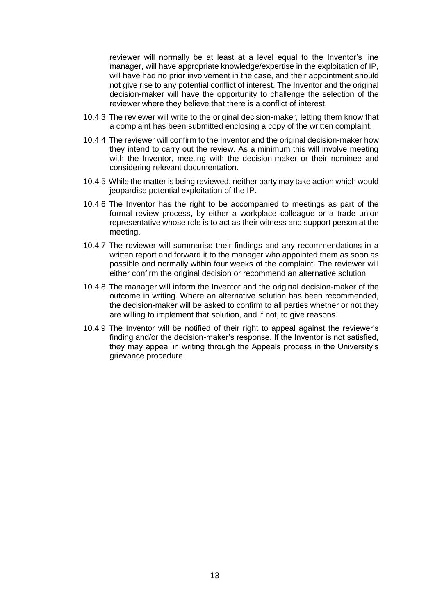reviewer will normally be at least at a level equal to the Inventor's line manager, will have appropriate knowledge/expertise in the exploitation of IP, will have had no prior involvement in the case, and their appointment should not give rise to any potential conflict of interest. The Inventor and the original decision-maker will have the opportunity to challenge the selection of the reviewer where they believe that there is a conflict of interest.

- 10.4.3 The reviewer will write to the original decision-maker, letting them know that a complaint has been submitted enclosing a copy of the written complaint.
- 10.4.4 The reviewer will confirm to the Inventor and the original decision-maker how they intend to carry out the review. As a minimum this will involve meeting with the Inventor, meeting with the decision-maker or their nominee and considering relevant documentation.
- 10.4.5 While the matter is being reviewed, neither party may take action which would jeopardise potential exploitation of the IP.
- 10.4.6 The Inventor has the right to be accompanied to meetings as part of the formal review process, by either a workplace colleague or a trade union representative whose role is to act as their witness and support person at the meeting.
- 10.4.7 The reviewer will summarise their findings and any recommendations in a written report and forward it to the manager who appointed them as soon as possible and normally within four weeks of the complaint. The reviewer will either confirm the original decision or recommend an alternative solution
- 10.4.8 The manager will inform the Inventor and the original decision-maker of the outcome in writing. Where an alternative solution has been recommended, the decision-maker will be asked to confirm to all parties whether or not they are willing to implement that solution, and if not, to give reasons.
- 10.4.9 The Inventor will be notified of their right to appeal against the reviewer's finding and/or the decision-maker's response. If the Inventor is not satisfied, they may appeal in writing through the Appeals process in the University's grievance procedure.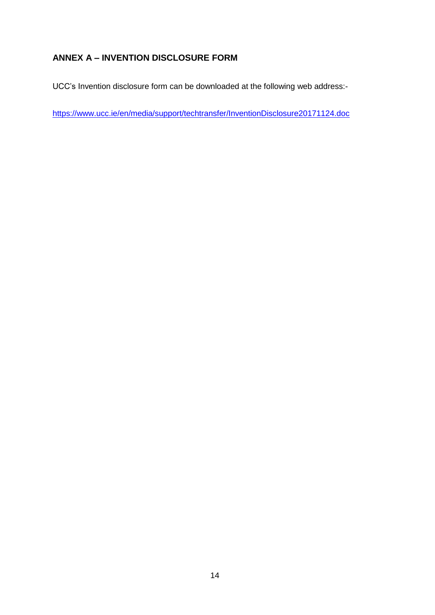# **ANNEX A – INVENTION DISCLOSURE FORM**

UCC's Invention disclosure form can be downloaded at the following web address:-

<https://www.ucc.ie/en/media/support/techtransfer/InventionDisclosure20171124.doc>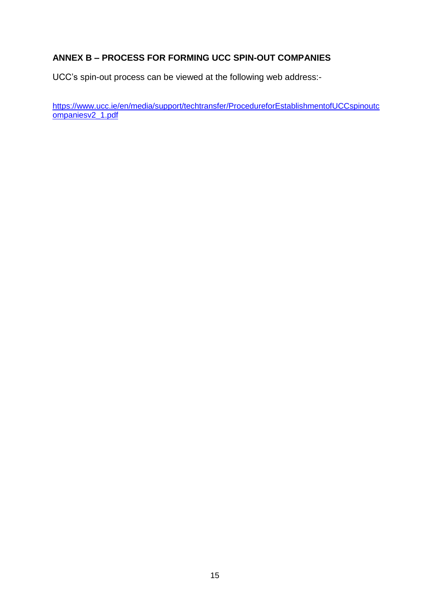# **ANNEX B – PROCESS FOR FORMING UCC SPIN-OUT COMPANIES**

UCC's spin-out process can be viewed at the following web address:-

[https://www.ucc.ie/en/media/support/techtransfer/ProcedureforEstablishmentofUCCspinoutc](https://www.ucc.ie/en/media/support/techtransfer/ProcedureforEstablishmentofUCCspinoutcompaniesv2_1.pdf) [ompaniesv2\\_1.pdf](https://www.ucc.ie/en/media/support/techtransfer/ProcedureforEstablishmentofUCCspinoutcompaniesv2_1.pdf)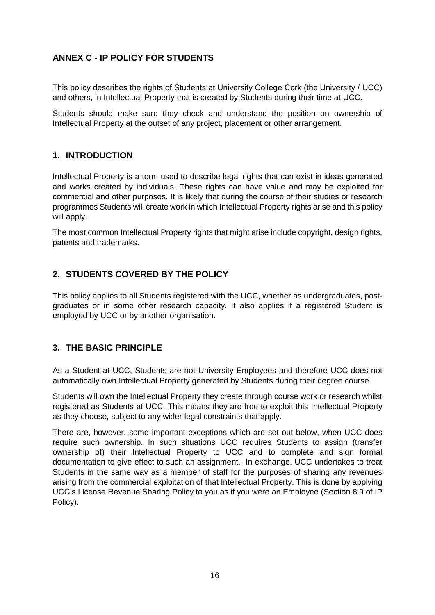# **ANNEX C - IP POLICY FOR STUDENTS**

This policy describes the rights of Students at University College Cork (the University / UCC) and others, in Intellectual Property that is created by Students during their time at UCC.

Students should make sure they check and understand the position on ownership of Intellectual Property at the outset of any project, placement or other arrangement.

## **1. INTRODUCTION**

Intellectual Property is a term used to describe legal rights that can exist in ideas generated and works created by individuals. These rights can have value and may be exploited for commercial and other purposes. It is likely that during the course of their studies or research programmes Students will create work in which Intellectual Property rights arise and this policy will apply.

The most common Intellectual Property rights that might arise include copyright, design rights, patents and trademarks.

# **2. STUDENTS COVERED BY THE POLICY**

This policy applies to all Students registered with the UCC, whether as undergraduates, postgraduates or in some other research capacity. It also applies if a registered Student is employed by UCC or by another organisation.

## **3. THE BASIC PRINCIPLE**

As a Student at UCC, Students are not University Employees and therefore UCC does not automatically own Intellectual Property generated by Students during their degree course.

Students will own the Intellectual Property they create through course work or research whilst registered as Students at UCC. This means they are free to exploit this Intellectual Property as they choose, subject to any wider legal constraints that apply.

There are, however, some important exceptions which are set out below, when UCC does require such ownership. In such situations UCC requires Students to assign (transfer ownership of) their Intellectual Property to UCC and to complete and sign formal documentation to give effect to such an assignment. In exchange, UCC undertakes to treat Students in the same way as a member of staff for the purposes of sharing any revenues arising from the commercial exploitation of that Intellectual Property. This is done by applying UCC's License Revenue Sharing Policy to you as if you were an Employee (Section 8.9 of IP Policy).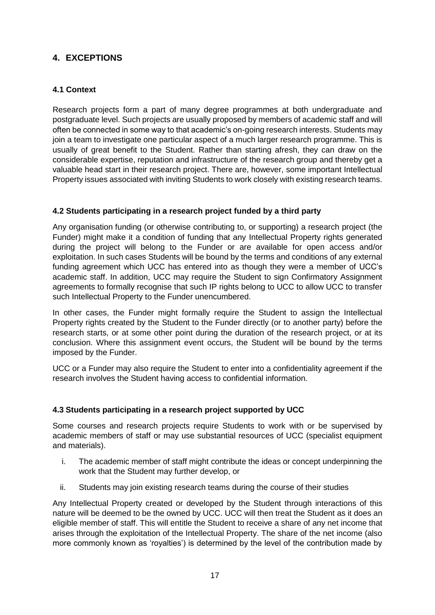# **4. EXCEPTIONS**

## **4.1 Context**

Research projects form a part of many degree programmes at both undergraduate and postgraduate level. Such projects are usually proposed by members of academic staff and will often be connected in some way to that academic's on-going research interests. Students may join a team to investigate one particular aspect of a much larger research programme. This is usually of great benefit to the Student. Rather than starting afresh, they can draw on the considerable expertise, reputation and infrastructure of the research group and thereby get a valuable head start in their research project. There are, however, some important Intellectual Property issues associated with inviting Students to work closely with existing research teams.

## **4.2 Students participating in a research project funded by a third party**

Any organisation funding (or otherwise contributing to, or supporting) a research project (the Funder) might make it a condition of funding that any Intellectual Property rights generated during the project will belong to the Funder or are available for open access and/or exploitation. In such cases Students will be bound by the terms and conditions of any external funding agreement which UCC has entered into as though they were a member of UCC's academic staff. In addition, UCC may require the Student to sign Confirmatory Assignment agreements to formally recognise that such IP rights belong to UCC to allow UCC to transfer such Intellectual Property to the Funder unencumbered.

In other cases, the Funder might formally require the Student to assign the Intellectual Property rights created by the Student to the Funder directly (or to another party) before the research starts, or at some other point during the duration of the research project, or at its conclusion. Where this assignment event occurs, the Student will be bound by the terms imposed by the Funder.

UCC or a Funder may also require the Student to enter into a confidentiality agreement if the research involves the Student having access to confidential information.

## **4.3 Students participating in a research project supported by UCC**

Some courses and research projects require Students to work with or be supervised by academic members of staff or may use substantial resources of UCC (specialist equipment and materials).

- i. The academic member of staff might contribute the ideas or concept underpinning the work that the Student may further develop, or
- ii. Students may join existing research teams during the course of their studies

Any Intellectual Property created or developed by the Student through interactions of this nature will be deemed to be the owned by UCC. UCC will then treat the Student as it does an eligible member of staff. This will entitle the Student to receive a share of any net income that arises through the exploitation of the Intellectual Property. The share of the net income (also more commonly known as 'royalties') is determined by the level of the contribution made by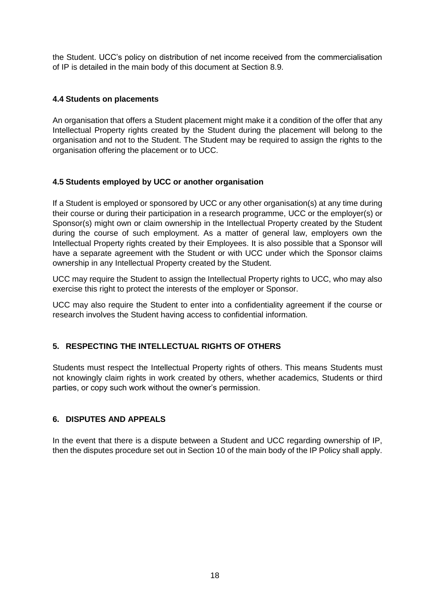the Student. UCC's policy on distribution of net income received from the commercialisation of IP is detailed in the main body of this document at Section 8.9.

#### **4.4 Students on placements**

An organisation that offers a Student placement might make it a condition of the offer that any Intellectual Property rights created by the Student during the placement will belong to the organisation and not to the Student. The Student may be required to assign the rights to the organisation offering the placement or to UCC.

#### **4.5 Students employed by UCC or another organisation**

If a Student is employed or sponsored by UCC or any other organisation(s) at any time during their course or during their participation in a research programme, UCC or the employer(s) or Sponsor(s) might own or claim ownership in the Intellectual Property created by the Student during the course of such employment. As a matter of general law, employers own the Intellectual Property rights created by their Employees. It is also possible that a Sponsor will have a separate agreement with the Student or with UCC under which the Sponsor claims ownership in any Intellectual Property created by the Student.

UCC may require the Student to assign the Intellectual Property rights to UCC, who may also exercise this right to protect the interests of the employer or Sponsor.

UCC may also require the Student to enter into a confidentiality agreement if the course or research involves the Student having access to confidential information.

## **5. RESPECTING THE INTELLECTUAL RIGHTS OF OTHERS**

Students must respect the Intellectual Property rights of others. This means Students must not knowingly claim rights in work created by others, whether academics, Students or third parties, or copy such work without the owner's permission.

#### **6. DISPUTES AND APPEALS**

In the event that there is a dispute between a Student and UCC regarding ownership of IP, then the disputes procedure set out in Section 10 of the main body of the IP Policy shall apply.